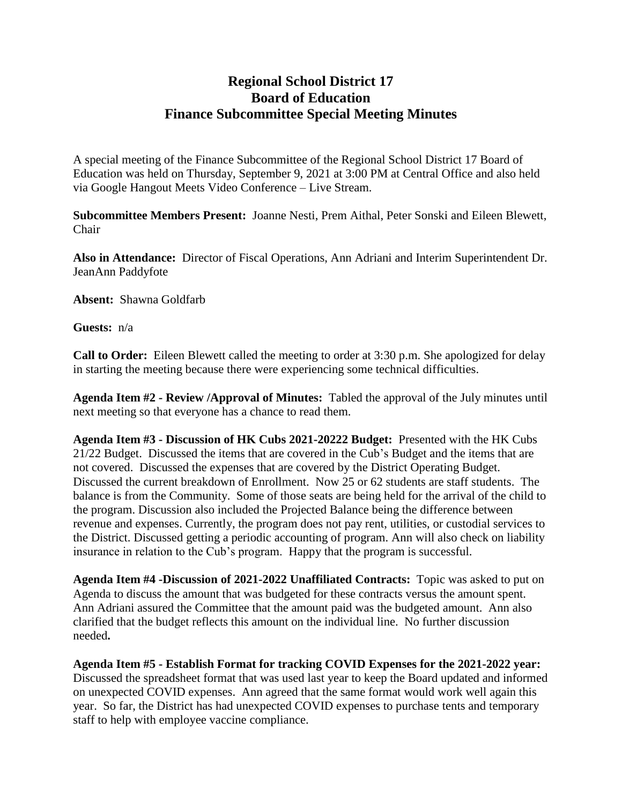## **Regional School District 17 Board of Education Finance Subcommittee Special Meeting Minutes**

A special meeting of the Finance Subcommittee of the Regional School District 17 Board of Education was held on Thursday, September 9, 2021 at 3:00 PM at Central Office and also held via Google Hangout Meets Video Conference – Live Stream.

**Subcommittee Members Present:** Joanne Nesti, Prem Aithal, Peter Sonski and Eileen Blewett, Chair

**Also in Attendance:** Director of Fiscal Operations, Ann Adriani and Interim Superintendent Dr. JeanAnn Paddyfote

**Absent:** Shawna Goldfarb

**Guests:** n/a

**Call to Order:** Eileen Blewett called the meeting to order at 3:30 p.m. She apologized for delay in starting the meeting because there were experiencing some technical difficulties.

**Agenda Item #2 - Review /Approval of Minutes:** Tabled the approval of the July minutes until next meeting so that everyone has a chance to read them.

**Agenda Item #3 - Discussion of HK Cubs 2021-20222 Budget:** Presented with the HK Cubs 21/22 Budget. Discussed the items that are covered in the Cub's Budget and the items that are not covered. Discussed the expenses that are covered by the District Operating Budget. Discussed the current breakdown of Enrollment. Now 25 or 62 students are staff students. The balance is from the Community. Some of those seats are being held for the arrival of the child to the program. Discussion also included the Projected Balance being the difference between revenue and expenses. Currently, the program does not pay rent, utilities, or custodial services to the District. Discussed getting a periodic accounting of program. Ann will also check on liability insurance in relation to the Cub's program. Happy that the program is successful.

**Agenda Item #4 -Discussion of 2021-2022 Unaffiliated Contracts:** Topic was asked to put on Agenda to discuss the amount that was budgeted for these contracts versus the amount spent. Ann Adriani assured the Committee that the amount paid was the budgeted amount. Ann also clarified that the budget reflects this amount on the individual line. No further discussion needed**.**

**Agenda Item #5 - Establish Format for tracking COVID Expenses for the 2021-2022 year:**  Discussed the spreadsheet format that was used last year to keep the Board updated and informed on unexpected COVID expenses. Ann agreed that the same format would work well again this year. So far, the District has had unexpected COVID expenses to purchase tents and temporary staff to help with employee vaccine compliance.